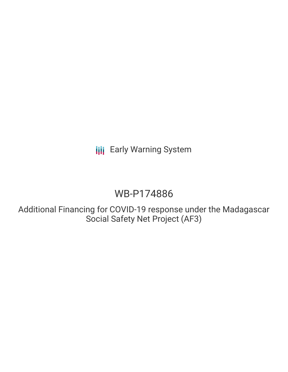**III** Early Warning System

# WB-P174886

Additional Financing for COVID-19 response under the Madagascar Social Safety Net Project (AF3)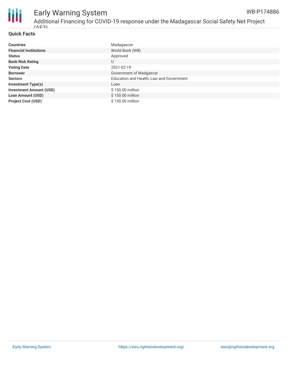

#### Early Warning System Additional Financing for COVID-19 response under the Madagascar Social Safety Net Project WB-P174886

#### **Quick Facts**

 $(\triangle F3)$ 

| <b>Countries</b>               | Madagascar                               |
|--------------------------------|------------------------------------------|
| <b>Financial Institutions</b>  | World Bank (WB)                          |
| <b>Status</b>                  | Approved                                 |
| <b>Bank Risk Rating</b>        | U                                        |
| <b>Voting Date</b>             | 2021-02-19                               |
| <b>Borrower</b>                | Government of Madgascar                  |
| <b>Sectors</b>                 | Education and Health, Law and Government |
| <b>Investment Type(s)</b>      | Loan                                     |
| <b>Investment Amount (USD)</b> | \$150.00 million                         |
| <b>Loan Amount (USD)</b>       | \$150.00 million                         |
| <b>Project Cost (USD)</b>      | \$150.00 million                         |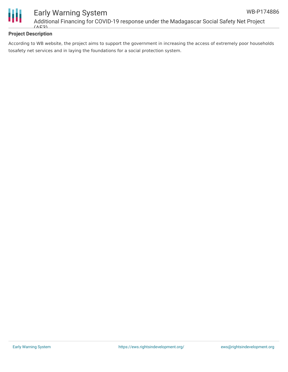



## Early Warning System Additional Financing for COVID-19 response under the Madagascar Social Safety Net Project  $(\triangle F3)$

# **Project Description**

According to WB website, the project aims to support the government in increasing the access of extremely poor households tosafety net services and in laying the foundations for a social protection system.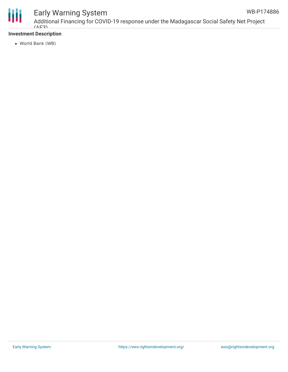

# Early Warning System

Additional Financing for COVID-19 response under the Madagascar Social Safety Net Project  $(\triangle E3)$ WB-P174886

### **Investment Description**

World Bank (WB)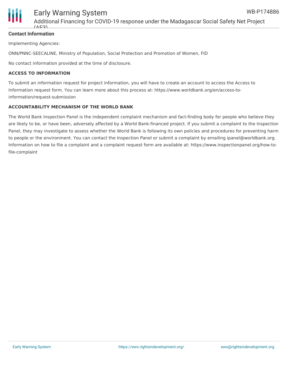

### **Contact Information**

Implementing Agencies:

ONN/PNNC-SEECALINE, Ministry of Population, Social Protection and Promotion of Women, FID

No contact information provided at the time of disclosure.

#### **ACCESS TO INFORMATION**

To submit an information request for project information, you will have to create an account to access the Access to Information request form. You can learn more about this process at: https://www.worldbank.org/en/access-toinformation/request-submission

#### **ACCOUNTABILITY MECHANISM OF THE WORLD BANK**

The World Bank Inspection Panel is the independent complaint mechanism and fact-finding body for people who believe they are likely to be, or have been, adversely affected by a World Bank-financed project. If you submit a complaint to the Inspection Panel, they may investigate to assess whether the World Bank is following its own policies and procedures for preventing harm to people or the environment. You can contact the Inspection Panel or submit a complaint by emailing ipanel@worldbank.org. Information on how to file a complaint and a complaint request form are available at: https://www.inspectionpanel.org/how-tofile-complaint